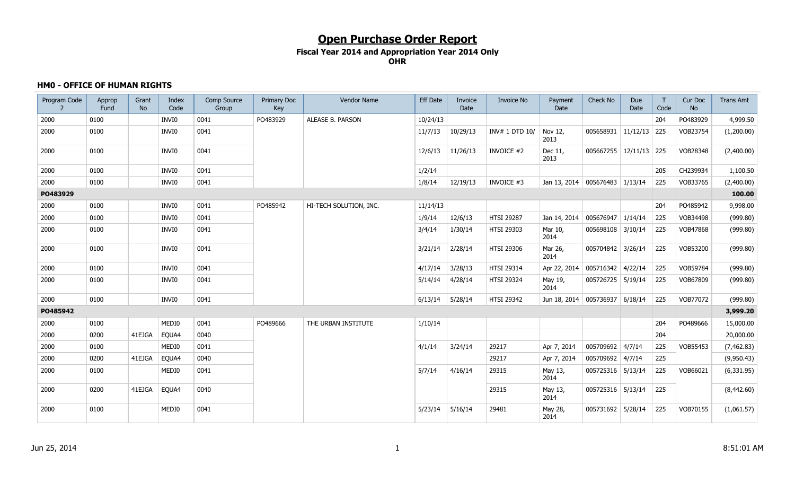### **Fiscal Year 2014 and Appropriation Year 2014 Only OHR**

### **HM0 - OFFICE OF HUMAN RIGHTS**

| Program Code | Approp<br>Fund | Grant<br><b>No</b> | Index<br>Code | Comp Source<br>Group | Primary Doc<br>Key | Vendor Name            | <b>Eff Date</b> | Invoice<br>Date | <b>Invoice No</b> | Payment<br>Date                    | <b>Check No</b>                    | Due<br>Date    | T<br>Code | Cur Doc<br><b>No</b> | <b>Trans Amt</b> |
|--------------|----------------|--------------------|---------------|----------------------|--------------------|------------------------|-----------------|-----------------|-------------------|------------------------------------|------------------------------------|----------------|-----------|----------------------|------------------|
| 2000         | 0100           |                    | <b>INVIO</b>  | 0041                 | PO483929           | ALEASE B. PARSON       | 10/24/13        |                 |                   |                                    |                                    |                | 204       | PO483929             | 4,999.50         |
| 2000         | 0100           |                    | INVI0         | 0041                 |                    |                        | 11/7/13         | 10/29/13        | INV# 1 DTD 10/    | Nov 12,<br>2013                    | 005658931                          | $11/12/13$ 225 |           | VOB23754             | (1,200.00)       |
| 2000         | 0100           |                    | INVI0         | 0041                 |                    |                        | 12/6/13         | 11/26/13        | <b>INVOICE #2</b> | Dec 11,<br>2013                    | $005667255 \mid 12/11/13 \mid 225$ |                |           | VOB28348             | (2,400.00)       |
| 2000         | 0100           |                    | <b>INVIO</b>  | 0041                 |                    |                        | 1/2/14          |                 |                   |                                    |                                    |                | 205       | CH239934             | 1,100.50         |
| 2000         | 0100           |                    | INVI0         | 0041                 |                    |                        | 1/8/14          | 12/19/13        | INVOICE #3        | Jan 13, 2014 005676483 1/13/14     |                                    |                | 225       | VOB33765             | (2,400.00)       |
| PO483929     |                |                    |               |                      |                    |                        |                 |                 |                   |                                    |                                    |                |           |                      | 100.00           |
| 2000         | 0100           |                    | INVI0         | 0041                 | PO485942           | HI-TECH SOLUTION, INC. | 11/14/13        |                 |                   |                                    |                                    |                | 204       | PO485942             | 9,998.00         |
| 2000         | 0100           |                    | <b>INVIO</b>  | 0041                 |                    |                        | 1/9/14          | 12/6/13         | <b>HTSI 29287</b> | Jan 14, 2014                       | 005676947                          | 1/14/14        | 225       | VOB34498             | (999.80)         |
| 2000         | 0100           |                    | INVI0         | 0041                 |                    |                        | 3/4/14          | 1/30/14         | <b>HTSI 29303</b> | Mar 10,<br>2014                    | 005698108 3/10/14                  |                | 225       | VOB47868             | (999.80)         |
| 2000         | 0100           |                    | INVI0         | 0041                 |                    |                        | 3/21/14         | 2/28/14         | HTSI 29306        | Mar 26,<br>2014                    | 005704842 3/26/14                  |                | 225       | VOB53200             | (999.80)         |
| 2000         | 0100           |                    | INVI0         | 0041                 |                    |                        | 4/17/14         | 3/28/13         | HTSI 29314        | Apr 22, 2014                       | $005716342$ 4/22/14                |                | 225       | VOB59784             | (999.80)         |
| 2000         | 0100           |                    | INVI0         | 0041                 |                    |                        | 5/14/14         | 4/28/14         | <b>HTSI 29324</b> | May 19,<br>2014                    | 005726725   5/19/14                |                | 225       | VOB67809             | (999.80)         |
| 2000         | 0100           |                    | INVI0         | 0041                 |                    |                        | 6/13/14         | 5/28/14         | <b>HTSI 29342</b> | Jun 18, 2014   005736937   6/18/14 |                                    |                | 225       | VOB77072             | (999.80)         |
| PO485942     |                |                    |               |                      |                    |                        |                 |                 |                   |                                    |                                    |                |           |                      | 3,999.20         |
| 2000         | 0100           |                    | MEDI0         | 0041                 | PO489666           | THE URBAN INSTITUTE    | 1/10/14         |                 |                   |                                    |                                    |                | 204       | PO489666             | 15,000.00        |
| 2000         | 0200           | 41EJGA             | EQUA4         | 0040                 |                    |                        |                 |                 |                   |                                    |                                    |                | 204       |                      | 20,000.00        |
| 2000         | 0100           |                    | MEDI0         | 0041                 |                    |                        | 4/1/14          | 3/24/14         | 29217             | Apr 7, 2014                        | 005709692 4/7/14                   |                | 225       | VOB55453             | (7, 462.83)      |
| 2000         | 0200           | 41EJGA             | EQUA4         | 0040                 |                    |                        |                 |                 | 29217             | Apr 7, 2014                        | 005709692 4/7/14                   |                | 225       |                      | (9,950.43)       |
| 2000         | 0100           |                    | MEDI0         | 0041                 |                    |                        | 5/7/14          | 4/16/14         | 29315             | May 13,<br>2014                    | 005725316 5/13/14                  |                | 225       | VOB66021             | (6, 331.95)      |
| 2000         | 0200           | 41EJGA             | EQUA4         | 0040                 |                    |                        |                 |                 | 29315             | May 13,<br>2014                    | 005725316 5/13/14                  |                | 225       |                      | (8,442.60)       |
| 2000         | 0100           |                    | MEDI0         | 0041                 |                    |                        | 5/23/14         | 5/16/14         | 29481             | May 28,<br>2014                    | 005731692 5/28/14                  |                | 225       | VOB70155             | (1,061.57)       |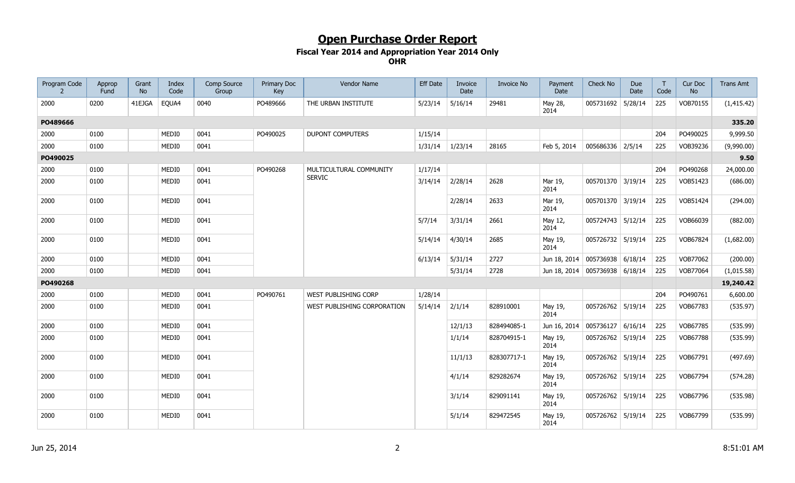| Program Code<br>$\overline{z}$ | Approp<br>Fund | Grant<br><b>No</b> | Index<br>Code | Comp Source<br>Group | Primary Doc<br>Key | Vendor Name                 | <b>Eff Date</b> | Invoice<br>Date | <b>Invoice No</b> | Payment<br>Date                    | Check No            | Due<br>Date | T<br>Code | Cur Doc<br><b>No</b> | <b>Trans Amt</b> |
|--------------------------------|----------------|--------------------|---------------|----------------------|--------------------|-----------------------------|-----------------|-----------------|-------------------|------------------------------------|---------------------|-------------|-----------|----------------------|------------------|
| 2000                           | 0200           | 41EJGA             | EQUA4         | 0040                 | PO489666           | THE URBAN INSTITUTE         | 5/23/14         | 5/16/14         | 29481             | May 28,<br>2014                    | 005731692 5/28/14   |             | 225       | VOB70155             | (1, 415.42)      |
| PO489666                       |                |                    |               |                      |                    |                             |                 |                 |                   |                                    |                     |             |           |                      | 335.20           |
| 2000                           | 0100           |                    | MEDI0         | 0041                 | PO490025           | <b>DUPONT COMPUTERS</b>     | 1/15/14         |                 |                   |                                    |                     |             | 204       | PO490025             | 9,999.50         |
| 2000                           | 0100           |                    | MEDI0         | 0041                 |                    |                             | 1/31/14         | 1/23/14         | 28165             | Feb 5, 2014                        | 005686336 2/5/14    |             | 225       | VOB39236             | (9,990.00)       |
| PO490025                       |                |                    |               |                      |                    |                             |                 |                 |                   |                                    |                     |             |           |                      | 9.50             |
| 2000                           | 0100           |                    | MEDI0         | 0041                 | PO490268           | MULTICULTURAL COMMUNITY     | 1/17/14         |                 |                   |                                    |                     |             | 204       | PO490268             | 24,000.00        |
| 2000                           | 0100           |                    | MEDI0         | 0041                 |                    | <b>SERVIC</b>               | 3/14/14         | 2/28/14         | 2628              | Mar 19,<br>2014                    | 005701370 3/19/14   |             | 225       | VOB51423             | (686.00)         |
| 2000                           | 0100           |                    | MEDI0         | 0041                 |                    |                             |                 | 2/28/14         | 2633              | Mar 19,<br>2014                    | 005701370 3/19/14   |             | 225       | VOB51424             | (294.00)         |
| 2000                           | 0100           |                    | MEDI0         | 0041                 |                    |                             | 5/7/14          | 3/31/14         | 2661              | May 12,<br>2014                    | 005724743 5/12/14   |             | 225       | VOB66039             | (882.00)         |
| 2000                           | 0100           |                    | MEDI0         | 0041                 |                    |                             | 5/14/14         | 4/30/14         | 2685              | May 19,<br>2014                    | 005726732 5/19/14   |             | 225       | VOB67824             | (1,682.00)       |
| 2000                           | 0100           |                    | MEDI0         | 0041                 |                    |                             | 6/13/14         | 5/31/14         | 2727              | Jun 18, 2014 005736938 6/18/14     |                     |             | 225       | VOB77062             | (200.00)         |
| 2000                           | 0100           |                    | MEDI0         | 0041                 |                    |                             |                 | 5/31/14         | 2728              | Jun 18, 2014   005736938   6/18/14 |                     |             | 225       | VOB77064             | (1,015.58)       |
| PO490268                       |                |                    |               |                      |                    |                             |                 |                 |                   |                                    |                     |             |           |                      | 19,240.42        |
| 2000                           | 0100           |                    | MEDI0         | 0041                 | PO490761           | WEST PUBLISHING CORP        | 1/28/14         |                 |                   |                                    |                     |             | 204       | PO490761             | 6,600.00         |
| 2000                           | 0100           |                    | MEDI0         | 0041                 |                    | WEST PUBLISHING CORPORATION | 5/14/14         | 2/1/14          | 828910001         | May 19,<br>2014                    | 005726762 5/19/14   |             | 225       | VOB67783             | (535.97)         |
| 2000                           | 0100           |                    | MEDI0         | 0041                 |                    |                             |                 | 12/1/13         | 828494085-1       | Jun 16, 2014                       | $005736127$ 6/16/14 |             | 225       | VOB67785             | (535.99)         |
| 2000                           | 0100           |                    | MEDI0         | 0041                 |                    |                             |                 | 1/1/14          | 828704915-1       | May 19,<br>2014                    | 005726762 5/19/14   |             | 225       | VOB67788             | (535.99)         |
| 2000                           | 0100           |                    | MEDI0         | 0041                 |                    |                             |                 | 11/1/13         | 828307717-1       | May 19,<br>2014                    | 005726762 5/19/14   |             | 225       | VOB67791             | (497.69)         |
| 2000                           | 0100           |                    | MEDI0         | 0041                 |                    |                             |                 | 4/1/14          | 829282674         | May 19,<br>2014                    | 005726762 5/19/14   |             | 225       | VOB67794             | (574.28)         |
| 2000                           | 0100           |                    | MEDI0         | 0041                 |                    |                             |                 | 3/1/14          | 829091141         | May 19,<br>2014                    | 005726762 5/19/14   |             | 225       | VOB67796             | (535.98)         |
| 2000                           | 0100           |                    | MEDI0         | 0041                 |                    |                             |                 | 5/1/14          | 829472545         | May 19,<br>2014                    | 005726762 5/19/14   |             | 225       | VOB67799             | (535.99)         |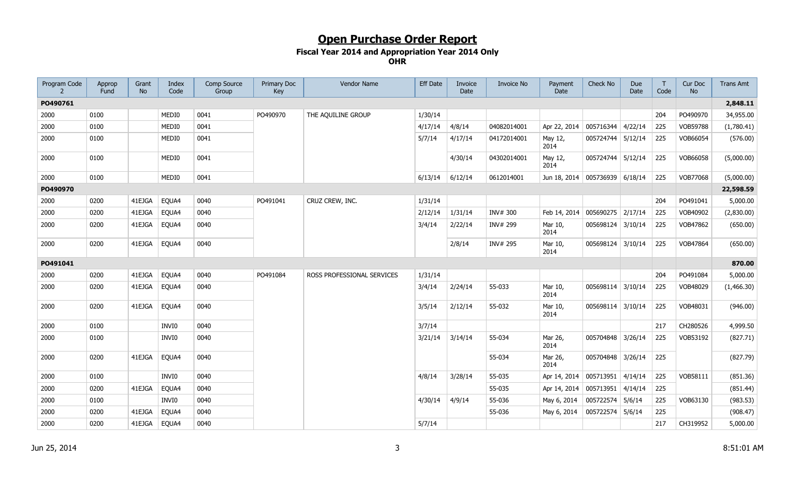| Program Code | Approp<br>Fund | Grant<br><b>No</b> | Index<br>Code | Comp Source<br>Group | Primary Doc<br>Key | Vendor Name                | <b>Eff Date</b> | Invoice<br>Date | <b>Invoice No</b> | Payment<br>Date                    | Check No          | Due<br>Date | T<br>Code | Cur Doc<br><b>No</b> | <b>Trans Amt</b> |
|--------------|----------------|--------------------|---------------|----------------------|--------------------|----------------------------|-----------------|-----------------|-------------------|------------------------------------|-------------------|-------------|-----------|----------------------|------------------|
| PO490761     |                |                    |               |                      |                    |                            |                 |                 |                   |                                    |                   |             |           |                      | 2,848.11         |
| 2000         | 0100           |                    | MEDI0         | 0041                 | PO490970           | THE AQUILINE GROUP         | 1/30/14         |                 |                   |                                    |                   |             | 204       | PO490970             | 34,955.00        |
| 2000         | 0100           |                    | MEDI0         | 0041                 |                    |                            | 4/17/14         | 4/8/14          | 04082014001       | Apr 22, 2014                       | 005716344         | 4/22/14     | 225       | <b>VOB59788</b>      | (1,780.41)       |
| 2000         | 0100           |                    | MEDI0         | 0041                 |                    |                            | 5/7/14          | 4/17/14         | 04172014001       | May 12,<br>2014                    | 005724744 5/12/14 |             | 225       | VOB66054             | (576.00)         |
| 2000         | 0100           |                    | MEDI0         | 0041                 |                    |                            |                 | 4/30/14         | 04302014001       | May 12,<br>2014                    | 005724744 5/12/14 |             | 225       | VOB66058             | (5,000.00)       |
| 2000         | 0100           |                    | MEDI0         | 0041                 |                    |                            | 6/13/14         | 6/12/14         | 0612014001        | Jun 18, 2014   005736939   6/18/14 |                   |             | 225       | VOB77068             | (5,000.00)       |
| PO490970     |                |                    |               |                      |                    |                            |                 |                 |                   |                                    |                   |             |           |                      | 22,598.59        |
| 2000         | 0200           | 41EJGA             | EQUA4         | 0040                 | PO491041           | CRUZ CREW, INC.            | 1/31/14         |                 |                   |                                    |                   |             | 204       | PO491041             | 5,000.00         |
| 2000         | 0200           | 41EJGA             | EQUA4         | 0040                 |                    |                            | 2/12/14         | 1/31/14         | INV# 300          | Feb 14, 2014                       | 005690275         | 2/17/14     | 225       | VOB40902             | (2,830.00)       |
| 2000         | 0200           | 41EJGA             | EQUA4         | 0040                 |                    |                            | 3/4/14          | 2/22/14         | INV# 299          | Mar 10,<br>2014                    | 005698124 3/10/14 |             | 225       | VOB47862             | (650.00)         |
| 2000         | 0200           | 41EJGA             | EQUA4         | 0040                 |                    |                            |                 | 2/8/14          | INV# 295          | Mar 10,<br>2014                    | 005698124         | 3/10/14     | 225       | VOB47864             | (650.00)         |
| PO491041     |                |                    |               |                      |                    |                            |                 |                 |                   |                                    |                   |             |           |                      | 870.00           |
| 2000         | 0200           | 41EJGA             | EQUA4         | 0040                 | PO491084           | ROSS PROFESSIONAL SERVICES | 1/31/14         |                 |                   |                                    |                   |             | 204       | PO491084             | 5,000.00         |
| 2000         | 0200           | 41EJGA             | EQUA4         | 0040                 |                    |                            | 3/4/14          | 2/24/14         | 55-033            | Mar 10,<br>2014                    | 005698114 3/10/14 |             | 225       | VOB48029             | (1,466.30)       |
| 2000         | 0200           | 41EJGA             | EQUA4         | 0040                 |                    |                            | 3/5/14          | 2/12/14         | 55-032            | Mar 10,<br>2014                    | 005698114 3/10/14 |             | 225       | VOB48031             | (946.00)         |
| 2000         | 0100           |                    | INVI0         | 0040                 |                    |                            | 3/7/14          |                 |                   |                                    |                   |             | 217       | CH280526             | 4,999.50         |
| 2000         | 0100           |                    | INVI0         | 0040                 |                    |                            | 3/21/14         | 3/14/14         | 55-034            | Mar 26,<br>2014                    | 005704848 3/26/14 |             | 225       | VOB53192             | (827.71)         |
| 2000         | 0200           | 41EJGA             | EQUA4         | 0040                 |                    |                            |                 |                 | 55-034            | Mar 26,<br>2014                    | 005704848 3/26/14 |             | 225       |                      | (827.79)         |
| 2000         | 0100           |                    | INVI0         | 0040                 |                    |                            | 4/8/14          | 3/28/14         | 55-035            | Apr 14, 2014                       | 005713951 4/14/14 |             | 225       | VOB58111             | (851.36)         |
| 2000         | 0200           | 41EJGA             | EQUA4         | 0040                 |                    |                            |                 |                 | 55-035            | Apr 14, 2014                       | 005713951 4/14/14 |             | 225       |                      | (851.44)         |
| 2000         | 0100           |                    | INVI0         | 0040                 |                    |                            | 4/30/14         | 4/9/14          | 55-036            | May 6, 2014                        | 005722574         | 5/6/14      | 225       | VOB63130             | (983.53)         |
| 2000         | 0200           | 41EJGA             | EQUA4         | 0040                 |                    |                            |                 |                 | 55-036            | May 6, 2014                        | 005722574 5/6/14  |             | 225       |                      | (908.47)         |
| 2000         | 0200           | 41EJGA             | EQUA4         | 0040                 |                    |                            | 5/7/14          |                 |                   |                                    |                   |             | 217       | CH319952             | 5,000.00         |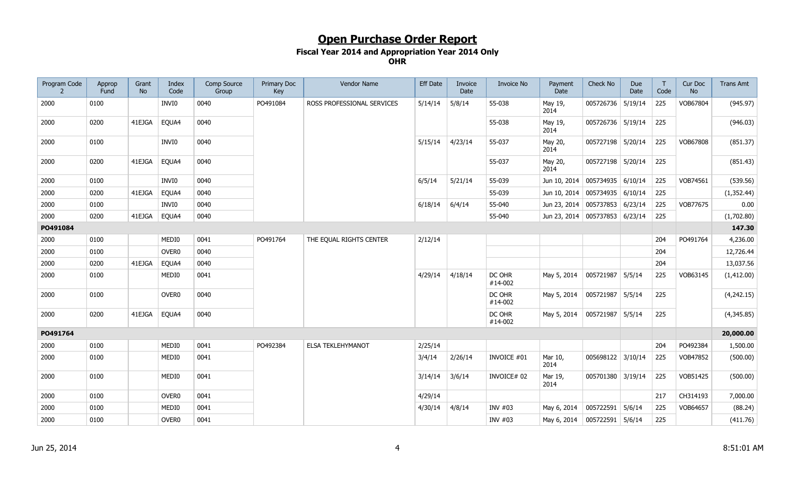| Program Code<br>$\overline{z}$ | Approp<br>Fund | Grant<br><b>No</b> | Index<br>Code     | Comp Source<br>Group | Primary Doc<br>Key | Vendor Name                | <b>Eff Date</b> | Invoice<br>Date | <b>Invoice No</b> | Payment<br>Date                    | Check No          | Due<br>Date | T<br>Code | Cur Doc<br><b>No</b> | <b>Trans Amt</b> |
|--------------------------------|----------------|--------------------|-------------------|----------------------|--------------------|----------------------------|-----------------|-----------------|-------------------|------------------------------------|-------------------|-------------|-----------|----------------------|------------------|
| 2000                           | 0100           |                    | INVI0             | 0040                 | PO491084           | ROSS PROFESSIONAL SERVICES | 5/14/14         | 5/8/14          | 55-038            | May 19,<br>2014                    | 005726736 5/19/14 |             | 225       | VOB67804             | (945.97)         |
| 2000                           | 0200           | 41EJGA             | EQUA4             | 0040                 |                    |                            |                 |                 | 55-038            | May 19,<br>2014                    | 005726736 5/19/14 |             | 225       |                      | (946.03)         |
| 2000                           | 0100           |                    | INVI0             | 0040                 |                    |                            | 5/15/14         | 4/23/14         | 55-037            | May 20,<br>2014                    | 005727198 5/20/14 |             | 225       | VOB67808             | (851.37)         |
| 2000                           | 0200           | 41EJGA             | EQUA4             | 0040                 |                    |                            |                 |                 | 55-037            | May 20,<br>2014                    | 005727198 5/20/14 |             | 225       |                      | (851.43)         |
| 2000                           | 0100           |                    | INVI0             | 0040                 |                    |                            | 6/5/14          | 5/21/14         | 55-039            | Jun 10, 2014                       | 005734935 6/10/14 |             | 225       | VOB74561             | (539.56)         |
| 2000                           | 0200           | 41EJGA             | EQUA4             | 0040                 |                    |                            |                 |                 | 55-039            | Jun 10, 2014   005734935   6/10/14 |                   |             | 225       |                      | (1, 352.44)      |
| 2000                           | 0100           |                    | INVI0             | 0040                 |                    |                            | 6/18/14         | 6/4/14          | 55-040            | Jun 23, 2014                       | 005737853 6/23/14 |             | 225       | VOB77675             | 0.00             |
| 2000                           | 0200           | 41EJGA             | EQUA4             | 0040                 |                    |                            |                 |                 | 55-040            | Jun 23, 2014   005737853   6/23/14 |                   |             | 225       |                      | (1,702.80)       |
| PO491084                       |                |                    |                   |                      |                    |                            |                 |                 |                   |                                    |                   |             |           |                      | 147.30           |
| 2000                           | 0100           |                    | MEDI0             | 0041                 | PO491764           | THE EQUAL RIGHTS CENTER    | 2/12/14         |                 |                   |                                    |                   |             | 204       | PO491764             | 4,236.00         |
| 2000                           | 0100           |                    | OVER <sub>0</sub> | 0040                 |                    |                            |                 |                 |                   |                                    |                   |             | 204       |                      | 12,726.44        |
| 2000                           | 0200           | 41EJGA             | EQUA4             | 0040                 |                    |                            |                 |                 |                   |                                    |                   |             | 204       |                      | 13,037.56        |
| 2000                           | 0100           |                    | MEDI0             | 0041                 |                    |                            | 4/29/14         | 4/18/14         | DC OHR<br>#14-002 | May 5, 2014                        | 005721987 5/5/14  |             | 225       | VOB63145             | (1,412.00)       |
| 2000                           | 0100           |                    | OVER <sub>0</sub> | 0040                 |                    |                            |                 |                 | DC OHR<br>#14-002 | May 5, 2014                        | 005721987 5/5/14  |             | 225       |                      | (4,242.15)       |
| 2000                           | 0200           | 41EJGA             | EQUA4             | 0040                 |                    |                            |                 |                 | DC OHR<br>#14-002 | May 5, 2014                        | 005721987         | 5/5/14      | 225       |                      | (4,345.85)       |
| PO491764                       |                |                    |                   |                      |                    |                            |                 |                 |                   |                                    |                   |             |           |                      | 20,000.00        |
| 2000                           | 0100           |                    | MEDI0             | 0041                 | PO492384           | <b>ELSA TEKLEHYMANOT</b>   | 2/25/14         |                 |                   |                                    |                   |             | 204       | PO492384             | 1,500.00         |
| 2000                           | 0100           |                    | MEDI0             | 0041                 |                    |                            | 3/4/14          | 2/26/14         | INVOICE #01       | Mar 10,<br>2014                    | 005698122 3/10/14 |             | 225       | VOB47852             | (500.00)         |
| 2000                           | 0100           |                    | MEDI0             | 0041                 |                    |                            | 3/14/14         | 3/6/14          | INVOICE# 02       | Mar 19,<br>2014                    | 005701380 3/19/14 |             | 225       | VOB51425             | (500.00)         |
| 2000                           | 0100           |                    | OVER <sub>0</sub> | 0041                 |                    |                            | 4/29/14         |                 |                   |                                    |                   |             | 217       | CH314193             | 7,000.00         |
| 2000                           | 0100           |                    | MEDI0             | 0041                 |                    |                            | 4/30/14         | 4/8/14          | INV #03           | May 6, 2014                        | 005722591 5/6/14  |             | 225       | VOB64657             | (88.24)          |
| 2000                           | 0100           |                    | OVER <sub>0</sub> | 0041                 |                    |                            |                 |                 | INV #03           | May 6, 2014                        | 005722591 5/6/14  |             | 225       |                      | (411.76)         |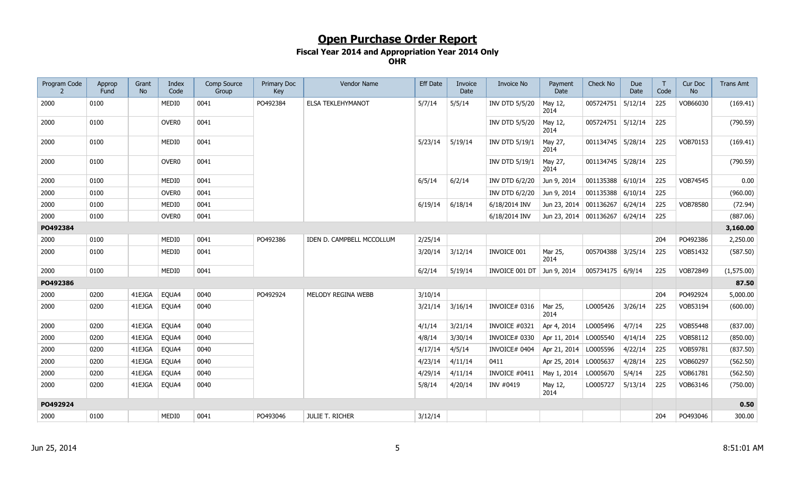| Program Code | Approp<br>Fund | Grant<br><b>No</b> | Index<br>Code     | Comp Source<br>Group | Primary Doc<br>Key | Vendor Name               | <b>Eff Date</b> | Invoice<br>Date | Invoice No            | Payment<br>Date        | Check No          | <b>Due</b><br>Date | $\mathsf{T}$<br>Code | Cur Doc<br><b>No</b> | <b>Trans Amt</b> |
|--------------|----------------|--------------------|-------------------|----------------------|--------------------|---------------------------|-----------------|-----------------|-----------------------|------------------------|-------------------|--------------------|----------------------|----------------------|------------------|
| 2000         | 0100           |                    | MEDI0             | 0041                 | PO492384           | <b>ELSA TEKLEHYMANOT</b>  | 5/7/14          | 5/5/14          | <b>INV DTD 5/5/20</b> | May 12,<br>2014        | 005724751 5/12/14 |                    | 225                  | VOB66030             | (169.41)         |
| 2000         | 0100           |                    | OVER <sub>0</sub> | 0041                 |                    |                           |                 |                 | INV DTD 5/5/20        | May 12,<br>2014        | 005724751 5/12/14 |                    | 225                  |                      | (790.59)         |
| 2000         | 0100           |                    | MEDI0             | 0041                 |                    |                           | 5/23/14         | 5/19/14         | INV DTD 5/19/1        | May 27,<br>2014        | 001134745 5/28/14 |                    | 225                  | VOB70153             | (169.41)         |
| 2000         | 0100           |                    | OVER <sub>0</sub> | 0041                 |                    |                           |                 |                 | INV DTD 5/19/1        | May 27,<br>2014        | 001134745 5/28/14 |                    | 225                  |                      | (790.59)         |
| 2000         | 0100           |                    | MEDI0             | 0041                 |                    |                           | 6/5/14          | 6/2/14          | <b>INV DTD 6/2/20</b> | Jun 9, 2014            | 001135388 6/10/14 |                    | 225                  | VOB74545             | 0.00             |
| 2000         | 0100           |                    | OVER <sub>0</sub> | 0041                 |                    |                           |                 |                 | INV DTD 6/2/20        | Jun 9, 2014            | 001135388 6/10/14 |                    | 225                  |                      | (960.00)         |
| 2000         | 0100           |                    | MEDI0             | 0041                 |                    |                           | 6/19/14         | 6/18/14         | 6/18/2014 INV         | Jun 23, 2014           | 001136267 6/24/14 |                    | 225                  | VOB78580             | (72.94)          |
| 2000         | 0100           |                    | OVER <sub>0</sub> | 0041                 |                    |                           |                 |                 | 6/18/2014 INV         | Jun 23, 2014 001136267 |                   | 6/24/14            | 225                  |                      | (887.06)         |
| PO492384     |                |                    |                   |                      |                    |                           |                 |                 |                       |                        |                   |                    |                      |                      | 3,160.00         |
| 2000         | 0100           |                    | MEDI0             | 0041                 | PO492386           | IDEN D. CAMPBELL MCCOLLUM | 2/25/14         |                 |                       |                        |                   |                    | 204                  | PO492386             | 2,250.00         |
| 2000         | 0100           |                    | MEDI0             | 0041                 |                    |                           | 3/20/14         | 3/12/14         | INVOICE 001           | Mar 25,<br>2014        | 005704388 3/25/14 |                    | 225                  | VOB51432             | (587.50)         |
| 2000         | 0100           |                    | MEDI0             | 0041                 |                    |                           | 6/2/14          | 5/19/14         | INVOICE 001 DT        | Jun 9, 2014            | 005734175 6/9/14  |                    | 225                  | VOB72849             | (1,575.00)       |
| PO492386     |                |                    |                   |                      |                    |                           |                 |                 |                       |                        |                   |                    |                      |                      | 87.50            |
| 2000         | 0200           | 41EJGA             | EQUA4             | 0040                 | PO492924           | MELODY REGINA WEBB        | 3/10/14         |                 |                       |                        |                   |                    | 204                  | PO492924             | 5,000.00         |
| 2000         | 0200           | 41EJGA             | EQUA4             | 0040                 |                    |                           | 3/21/14         | 3/16/14         | INVOICE# 0316         | Mar 25,<br>2014        | LO005426          | 3/26/14            | 225                  | VOB53194             | (600.00)         |
| 2000         | 0200           | 41EJGA             | EQUA4             | 0040                 |                    |                           | 4/1/14          | 3/21/14         | INVOICE #0321         | Apr 4, 2014            | LO005496          | 4/7/14             | 225                  | VOB55448             | (837.00)         |
| 2000         | 0200           | 41EJGA             | EQUA4             | 0040                 |                    |                           | 4/8/14          | 3/30/14         | INVOICE# 0330         | Apr 11, 2014           | LO005540          | 4/14/14            | 225                  | VOB58112             | (850.00)         |
| 2000         | 0200           | 41EJGA             | EQUA4             | 0040                 |                    |                           | 4/17/14         | 4/5/14          | INVOICE# 0404         | Apr 21, 2014           | LO005596          | 4/22/14            | 225                  | VOB59781             | (837.50)         |
| 2000         | 0200           | 41EJGA             | EQUA4             | 0040                 |                    |                           | 4/23/14         | 4/11/14         | 0411                  | Apr 25, 2014           | LO005637          | 4/28/14            | 225                  | VOB60297             | (562.50)         |
| 2000         | 0200           | 41EJGA             | EQUA4             | 0040                 |                    |                           | 4/29/14         | 4/11/14         | INVOICE #0411         | May 1, 2014            | LO005670          | 5/4/14             | 225                  | VOB61781             | (562.50)         |
| 2000         | 0200           | 41EJGA             | EQUA4             | 0040                 |                    |                           | 5/8/14          | 4/20/14         | INV #0419             | May 12,<br>2014        | LO005727          | 5/13/14            | 225                  | VOB63146             | (750.00)         |
| PO492924     |                |                    |                   |                      |                    |                           |                 |                 |                       |                        |                   |                    |                      |                      | 0.50             |
| 2000         | 0100           |                    | MEDI0             | 0041                 | PO493046           | <b>JULIE T. RICHER</b>    | 3/12/14         |                 |                       |                        |                   |                    | 204                  | PO493046             | 300.00           |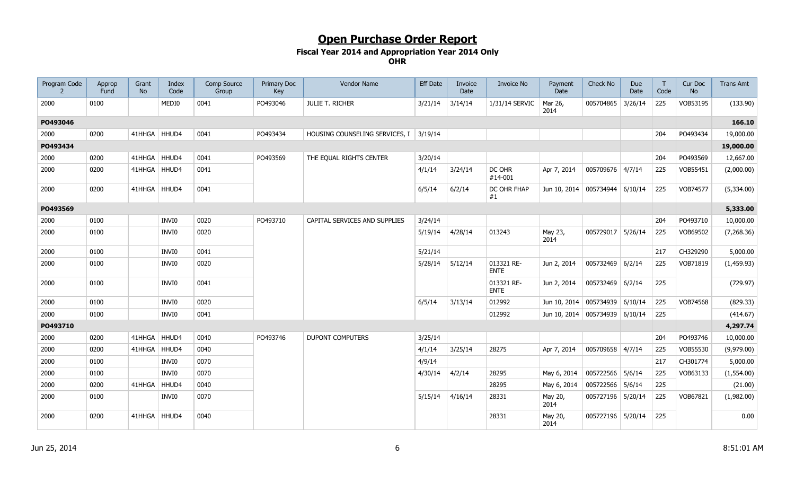| Program Code<br>$\overline{z}$ | Approp<br>Fund | Grant<br><b>No</b> | Index<br>Code | Comp Source<br>Group | Primary Doc<br>Key | Vendor Name                            | <b>Eff Date</b> | Invoice<br>Date | <b>Invoice No</b>         | Payment<br>Date                    | Check No          | Due<br>Date | $\mathsf{T}$<br>Code | Cur Doc<br><b>No</b> | <b>Trans Amt</b> |
|--------------------------------|----------------|--------------------|---------------|----------------------|--------------------|----------------------------------------|-----------------|-----------------|---------------------------|------------------------------------|-------------------|-------------|----------------------|----------------------|------------------|
| 2000                           | 0100           |                    | MEDI0         | 0041                 | PO493046           | <b>JULIE T. RICHER</b>                 | 3/21/14         | 3/14/14         | 1/31/14 SERVIC            | Mar 26,<br>2014                    | 005704865         | 3/26/14     | 225                  | VOB53195             | (133.90)         |
| PO493046                       |                |                    |               |                      |                    |                                        |                 |                 |                           |                                    |                   |             |                      |                      | 166.10           |
| 2000                           | 0200           | 41HHGA HHUD4       |               | 0041                 | PO493434           | HOUSING COUNSELING SERVICES, I 3/19/14 |                 |                 |                           |                                    |                   |             | 204                  | PO493434             | 19,000.00        |
| PO493434                       |                |                    |               |                      |                    |                                        |                 |                 |                           |                                    |                   |             |                      |                      | 19,000.00        |
| 2000                           | 0200           | 41HHGA   HHUD4     |               | 0041                 | PO493569           | THE EQUAL RIGHTS CENTER                | 3/20/14         |                 |                           |                                    |                   |             | 204                  | PO493569             | 12,667.00        |
| 2000                           | 0200           | 41HHGA             | HHUD4         | 0041                 |                    |                                        | 4/1/14          | 3/24/14         | DC OHR<br>#14-001         | Apr 7, 2014                        | 005709676 4/7/14  |             | 225                  | VOB55451             | (2,000.00)       |
| 2000                           | 0200           | 41HHGA             | HHUD4         | 0041                 |                    |                                        | 6/5/14          | 6/2/14          | DC OHR FHAP<br>#1         | Jun 10, 2014 005734944 6/10/14     |                   |             | 225                  | VOB74577             | (5,334.00)       |
| PO493569                       |                |                    |               |                      |                    |                                        |                 |                 |                           |                                    |                   |             |                      |                      | 5,333.00         |
| 2000                           | 0100           |                    | INVI0         | 0020                 | PO493710           | CAPITAL SERVICES AND SUPPLIES          | 3/24/14         |                 |                           |                                    |                   |             | 204                  | PO493710             | 10,000.00        |
| 2000                           | 0100           |                    | INVI0         | 0020                 |                    |                                        | 5/19/14         | 4/28/14         | 013243                    | May 23,<br>2014                    | 005729017 5/26/14 |             | 225                  | VOB69502             | (7,268.36)       |
| 2000                           | 0100           |                    | INVI0         | 0041                 |                    |                                        | 5/21/14         |                 |                           |                                    |                   |             | 217                  | CH329290             | 5,000.00         |
| 2000                           | 0100           |                    | INVI0         | 0020                 |                    |                                        | 5/28/14         | 5/12/14         | 013321 RE-<br><b>ENTE</b> | Jun 2, 2014                        | 005732469 6/2/14  |             | 225                  | VOB71819             | (1,459.93)       |
| 2000                           | 0100           |                    | INVI0         | 0041                 |                    |                                        |                 |                 | 013321 RE-<br><b>ENTE</b> | Jun 2, 2014                        | 005732469 6/2/14  |             | 225                  |                      | (729.97)         |
| 2000                           | 0100           |                    | INVI0         | 0020                 |                    |                                        | 6/5/14          | 3/13/14         | 012992                    | Jun 10, 2014 005734939 6/10/14     |                   |             | 225                  | VOB74568             | (829.33)         |
| 2000                           | 0100           |                    | INVI0         | 0041                 |                    |                                        |                 |                 | 012992                    | Jun 10, 2014   005734939   6/10/14 |                   |             | 225                  |                      | (414.67)         |
| PO493710                       |                |                    |               |                      |                    |                                        |                 |                 |                           |                                    |                   |             |                      |                      | 4,297.74         |
| 2000                           | 0200           | 41HHGA             | HHUD4         | 0040                 | PO493746           | <b>DUPONT COMPUTERS</b>                | 3/25/14         |                 |                           |                                    |                   |             | 204                  | PO493746             | 10,000.00        |
| 2000                           | 0200           | 41HHGA             | HHUD4         | 0040                 |                    |                                        | 4/1/14          | 3/25/14         | 28275                     | Apr 7, 2014                        | 005709658 4/7/14  |             | 225                  | VOB55530             | (9,979.00)       |
| 2000                           | 0100           |                    | INVI0         | 0070                 |                    |                                        | 4/9/14          |                 |                           |                                    |                   |             | 217                  | CH301774             | 5,000.00         |
| 2000                           | 0100           |                    | INVI0         | 0070                 |                    |                                        | 4/30/14         | 4/2/14          | 28295                     | May 6, 2014                        | 005722566 5/6/14  |             | 225                  | VOB63133             | (1,554.00)       |
| 2000                           | 0200           | 41HHGA             | HHUD4         | 0040                 |                    |                                        |                 |                 | 28295                     | May 6, 2014                        | 005722566 5/6/14  |             | 225                  |                      | (21.00)          |
| 2000                           | 0100           |                    | INVI0         | 0070                 |                    |                                        | 5/15/14         | 4/16/14         | 28331                     | May 20,<br>2014                    | 005727196 5/20/14 |             | 225                  | VOB67821             | (1,982.00)       |
| 2000                           | 0200           | 41HHGA             | HHUD4         | 0040                 |                    |                                        |                 |                 | 28331                     | May 20,<br>2014                    | 005727196 5/20/14 |             | 225                  |                      | 0.00             |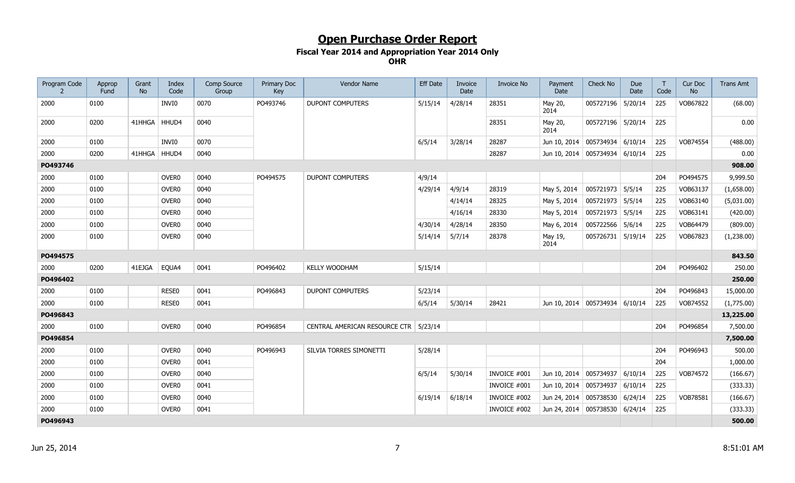| Program Code<br>$\overline{z}$ | Approp<br>Fund | Grant<br><b>No</b> | Index<br>Code     | Comp Source<br>Group | Primary Doc<br>Key | Vendor Name                             | <b>Eff Date</b> | Invoice<br>Date | <b>Invoice No</b> | Payment<br>Date                    | Check No          | Due<br>Date | T<br>Code | Cur Doc<br><b>No</b> | <b>Trans Amt</b> |
|--------------------------------|----------------|--------------------|-------------------|----------------------|--------------------|-----------------------------------------|-----------------|-----------------|-------------------|------------------------------------|-------------------|-------------|-----------|----------------------|------------------|
| 2000                           | 0100           |                    | INVI0             | 0070                 | PO493746           | <b>DUPONT COMPUTERS</b>                 | 5/15/14         | 4/28/14         | 28351             | May 20,<br>2014                    | 005727196         | 5/20/14     | 225       | VOB67822             | (68.00)          |
| 2000                           | 0200           | 41HHGA             | HHUD4             | 0040                 |                    |                                         |                 |                 | 28351             | May 20,<br>2014                    | 005727196 5/20/14 |             | 225       |                      | 0.00             |
| 2000                           | 0100           |                    | INVI0             | 0070                 |                    |                                         | 6/5/14          | 3/28/14         | 28287             | Jun 10, 2014   005734934   6/10/14 |                   |             | 225       | VOB74554             | (488.00)         |
| 2000                           | 0200           | 41HHGA HHUD4       |                   | 0040                 |                    |                                         |                 |                 | 28287             | Jun 10, 2014   005734934   6/10/14 |                   |             | 225       |                      | 0.00             |
| PO493746                       |                |                    |                   |                      |                    |                                         |                 |                 |                   |                                    |                   |             |           |                      | 908.00           |
| 2000                           | 0100           |                    | OVER <sub>0</sub> | 0040                 | PO494575           | <b>DUPONT COMPUTERS</b>                 | 4/9/14          |                 |                   |                                    |                   |             | 204       | PO494575             | 9,999.50         |
| 2000                           | 0100           |                    | OVER <sub>0</sub> | 0040                 |                    |                                         | 4/29/14         | 4/9/14          | 28319             | May 5, 2014                        | 005721973 5/5/14  |             | 225       | VOB63137             | (1,658.00)       |
| 2000                           | 0100           |                    | OVER <sub>0</sub> | 0040                 |                    |                                         |                 | 4/14/14         | 28325             | May 5, 2014                        | 005721973 5/5/14  |             | 225       | VOB63140             | (5,031.00)       |
| 2000                           | 0100           |                    | OVER <sub>0</sub> | 0040                 |                    |                                         |                 | 4/16/14         | 28330             | May 5, 2014                        | 005721973 5/5/14  |             | 225       | VOB63141             | (420.00)         |
| 2000                           | 0100           |                    | OVER <sub>0</sub> | 0040                 |                    |                                         | 4/30/14         | 4/28/14         | 28350             | May 6, 2014                        | 005722566 5/6/14  |             | 225       | VOB64479             | (809.00)         |
| 2000                           | 0100           |                    | OVER <sub>0</sub> | 0040                 |                    |                                         | 5/14/14         | 5/7/14          | 28378             | May 19,<br>2014                    | 005726731 5/19/14 |             | 225       | VOB67823             | (1,238.00)       |
| PO494575                       |                |                    |                   |                      |                    |                                         |                 |                 |                   |                                    |                   |             |           |                      | 843.50           |
| 2000                           | 0200           | 41EJGA             | EQUA4             | 0041                 | PO496402           | <b>KELLY WOODHAM</b>                    | 5/15/14         |                 |                   |                                    |                   |             | 204       | PO496402             | 250.00           |
| PO496402                       |                |                    |                   |                      |                    |                                         |                 |                 |                   |                                    |                   |             |           |                      | 250.00           |
| 2000                           | 0100           |                    | RESE0             | 0041                 | PO496843           | <b>DUPONT COMPUTERS</b>                 | 5/23/14         |                 |                   |                                    |                   |             | 204       | PO496843             | 15,000.00        |
| 2000                           | 0100           |                    | RESE0             | 0041                 |                    |                                         | 6/5/14          | 5/30/14         | 28421             | Jun 10, 2014 005734934 6/10/14     |                   |             | 225       | VOB74552             | (1,775.00)       |
| PO496843                       |                |                    |                   |                      |                    |                                         |                 |                 |                   |                                    |                   |             |           |                      | 13,225.00        |
| 2000                           | 0100           |                    | OVER <sub>0</sub> | 0040                 | PO496854           | CENTRAL AMERICAN RESOURCE CTR   5/23/14 |                 |                 |                   |                                    |                   |             | 204       | PO496854             | 7,500.00         |
| PO496854                       |                |                    |                   |                      |                    |                                         |                 |                 |                   |                                    |                   |             |           |                      | 7,500.00         |
| 2000                           | 0100           |                    | OVER <sub>0</sub> | 0040                 | PO496943           | SILVIA TORRES SIMONETTI                 | 5/28/14         |                 |                   |                                    |                   |             | 204       | PO496943             | 500.00           |
| 2000                           | 0100           |                    | OVER <sub>0</sub> | 0041                 |                    |                                         |                 |                 |                   |                                    |                   |             | 204       |                      | 1,000.00         |
| 2000                           | 0100           |                    | OVER <sub>0</sub> | 0040                 |                    |                                         | 6/5/14          | 5/30/14         | INVOICE #001      | Jun 10, 2014   005734937   6/10/14 |                   |             | 225       | VOB74572             | (166.67)         |
| 2000                           | 0100           |                    | OVER <sub>0</sub> | 0041                 |                    |                                         |                 |                 | INVOICE #001      | Jun 10, 2014   005734937           |                   | 6/10/14     | 225       |                      | (333.33)         |
| 2000                           | 0100           |                    | OVER <sub>0</sub> | 0040                 |                    |                                         | 6/19/14         | 6/18/14         | INVOICE #002      | Jun 24, 2014 005738530             |                   | 6/24/14     | 225       | VOB78581             | (166.67)         |
| 2000                           | 0100           |                    | OVER <sub>0</sub> | 0041                 |                    |                                         |                 |                 | INVOICE #002      | Jun 24, 2014   005738530   6/24/14 |                   |             | 225       |                      | (333.33)         |
| PO496943                       |                |                    |                   |                      |                    |                                         |                 |                 |                   |                                    |                   |             |           |                      | 500.00           |